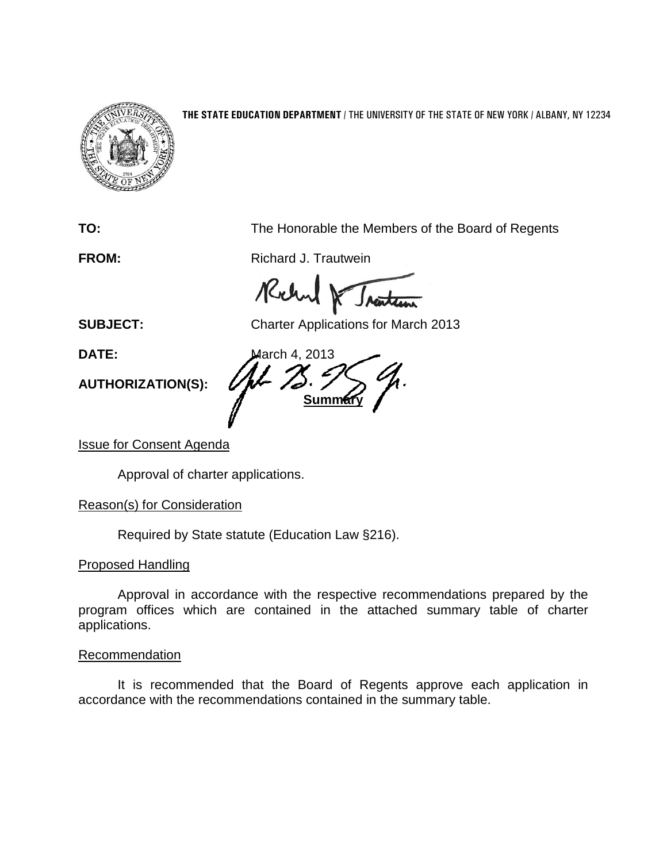

#### **THE STATE EDUCATION DEPARTMENT** / THE UNIVERSITY OF THE STATE OF NEW YORK / ALBANY, NY 12234

**TO:** The Honorable the Members of the Board of Regents

**FROM:** Richard J. Trautwein

Richard

**SUBJECT:** Charter Applications for March 2013

**AUTHORIZATION(S):**

**DATE:** March 4, 2013 **Summar** 

## Issue for Consent Agenda

Approval of charter applications.

## Reason(s) for Consideration

Required by State statute (Education Law §216).

## Proposed Handling

Approval in accordance with the respective recommendations prepared by the program offices which are contained in the attached summary table of charter applications.

#### Recommendation

It is recommended that the Board of Regents approve each application in accordance with the recommendations contained in the summary table.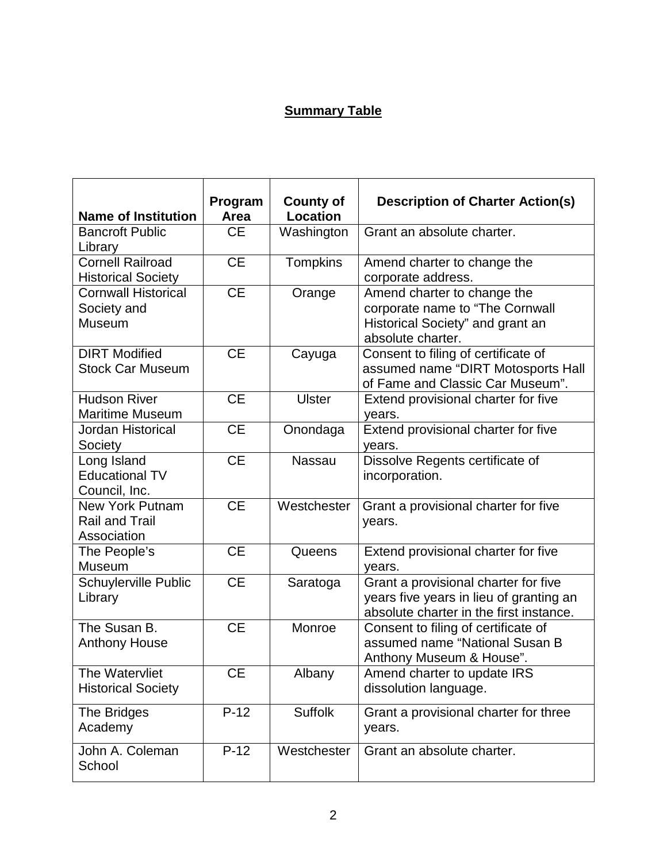# **Summary Table**

| <b>Name of Institution</b>                              | Program<br>Area | <b>County of</b><br><b>Location</b> | <b>Description of Charter Action(s)</b>                                                                                    |
|---------------------------------------------------------|-----------------|-------------------------------------|----------------------------------------------------------------------------------------------------------------------------|
| <b>Bancroft Public</b><br>Library                       | <b>CE</b>       | Washington                          | Grant an absolute charter.                                                                                                 |
| <b>Cornell Railroad</b><br><b>Historical Society</b>    | <b>CE</b>       | Tompkins                            | Amend charter to change the<br>corporate address.                                                                          |
| <b>Cornwall Historical</b><br>Society and<br>Museum     | <b>CE</b>       | Orange                              | Amend charter to change the<br>corporate name to "The Cornwall<br>Historical Society" and grant an<br>absolute charter.    |
| <b>DIRT Modified</b><br><b>Stock Car Museum</b>         | <b>CE</b>       | Cayuga                              | Consent to filing of certificate of<br>assumed name "DIRT Motosports Hall<br>of Fame and Classic Car Museum".              |
| <b>Hudson River</b><br><b>Maritime Museum</b>           | <b>CE</b>       | <b>Ulster</b>                       | Extend provisional charter for five<br>years.                                                                              |
| Jordan Historical<br>Society                            | <b>CE</b>       | Onondaga                            | Extend provisional charter for five<br>vears.                                                                              |
| Long Island<br><b>Educational TV</b><br>Council, Inc.   | <b>CE</b>       | <b>Nassau</b>                       | Dissolve Regents certificate of<br>incorporation.                                                                          |
| New York Putnam<br><b>Rail and Trail</b><br>Association | $\overline{CE}$ | Westchester                         | Grant a provisional charter for five<br>years.                                                                             |
| The People's<br><b>Museum</b>                           | <b>CE</b>       | Queens                              | Extend provisional charter for five<br>years.                                                                              |
| Schuylerville Public<br>Library                         | <b>CE</b>       | Saratoga                            | Grant a provisional charter for five<br>years five years in lieu of granting an<br>absolute charter in the first instance. |
| The Susan B.<br><b>Anthony House</b>                    | <b>CE</b>       | Monroe                              | Consent to filing of certificate of<br>assumed name "National Susan B<br>Anthony Museum & House".                          |
| The Watervliet<br><b>Historical Society</b>             | <b>CE</b>       | Albany                              | Amend charter to update IRS<br>dissolution language.                                                                       |
| The Bridges<br>Academy                                  | $P-12$          | <b>Suffolk</b>                      | Grant a provisional charter for three<br>years.                                                                            |
| John A. Coleman<br>School                               | $P-12$          | Westchester                         | Grant an absolute charter.                                                                                                 |